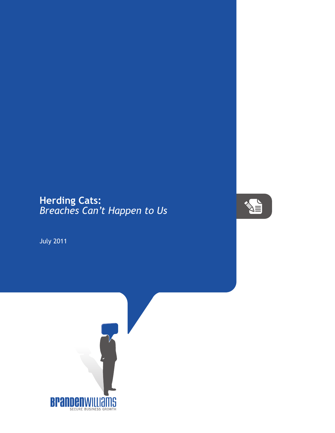## **Herding Cats:** *Breaches Can't Happen to Us*



July 2011

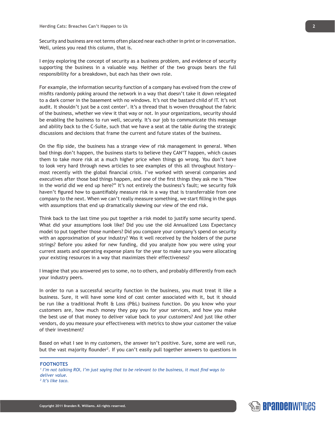Security and business are not terms often placed near each other in print or in conversation. Well, unless you read this column, that is.

I enjoy exploring the concept of security as a business problem, and evidence of security supporting the business in a valuable way. Neither of the two groups bears the full responsibility for a breakdown, but each has their own role.

For example, the information security function of a company has evolved from the crew of misfits randomly poking around the network in a way that doesn't take it down relegated to a dark corner in the basement with no windows. It's not the bastard child of IT. It's not audit. It shouldn't just be a cost center<sup>1</sup>. It's a thread that is woven throughout the fabric of the business, whether we view it that way or not. In your organizations, security should be enabling the business to run well, securely. It's our job to communicate this message and ability back to the C-Suite, such that we have a seat at the table during the strategic discussions and decisions that frame the current and future states of the business.

On the flip side, the business has a strange view of risk management in general. When bad things don't happen, the business starts to believe they CAN'T happen, which causes them to take more risk at a much higher price when things go wrong. You don't have to look very hard through news articles to see examples of this all throughout history most recently with the global financial crisis. I've worked with several companies and executives after those bad things happen, and one of the first things they ask me is "How in the world did we end up here?" It's not entirely the business's fault; we security folk haven't figured how to quantifiably measure risk in a way that is transferrable from one company to the next. When we can't really measure something, we start filling in the gaps with assumptions that end up dramatically skewing our view of the end risk.

Think back to the last time you put together a risk model to justify some security spend. What did your assumptions look like? Did you use the old Annualized Loss Expectancy model to put together those numbers? Did you compare your company's spend on security with an approximation of your industry? Was it well received by the holders of the purse strings? Before you asked for new funding, did you analyze how you were using your current assets and operating expense plans for the year to make sure you were allocating your existing resources in a way that maximizes their effectiveness?

I imagine that you answered yes to some, no to others, and probably differently from each your industry peers.

In order to run a successful security function in the business, you must treat it like a business. Sure, it will have some kind of cost center associated with it, but it should be run like a traditional Profit & Loss (P&L) business function. Do you know who your customers are, how much money they pay you for your services, and how you make the best use of that money to deliver value back to your customers? And just like other vendors, do you measure your effectiveness with metrics to show your customer the value of their investment?

Based on what I see in my customers, the answer isn't positive. Sure, some are well run, but the vast majority flounder<sup>2</sup>. If you can't easily pull together answers to questions in

## **FOOTNOTES** <sup>1</sup> I'm not talking ROI, I'm just saying that to be relevant to the business, it must find ways to *deliver value. 2 It's like taco.*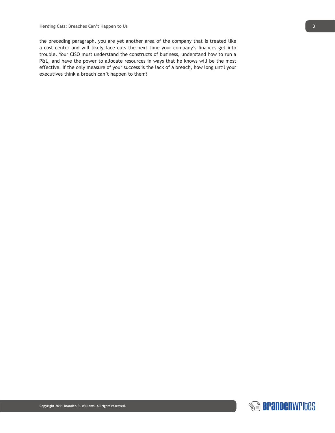the preceding paragraph, you are yet another area of the company that is treated like a cost center and will likely face cuts the next time your company's finances get into trouble. Your CISO must understand the constructs of business, understand how to run a P&L, and have the power to allocate resources in ways that he knows will be the most effective. If the only measure of your success is the lack of a breach, how long until your executives think a breach can't happen to them?